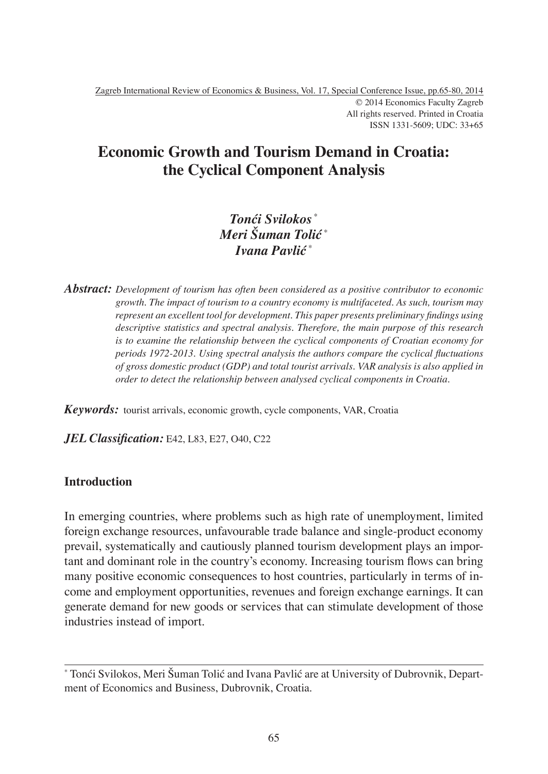# **Economic Growth and Tourism Demand in Croatia: the Cyclical Component Analysis**

## *Tonći Svilokos* \* *Meri Šuman Tolić* \* *Ivana Pavlić* \*

*Abstract: Development of tourism has often been considered as a positive contributor to economic growth. The impact of tourism to a country economy is multifaceted. As such, tourism may*  represent an excellent tool for development. This paper presents preliminary findings using *descriptive statistics and spectral analysis. Therefore, the main purpose of this research is to examine the relationship between the cyclical components of Croatian economy for periods 1972-2013. Using spectral analysis the authors compare the cyclical fluctuations of gross domestic product (GDP) and total tourist arrivals. VAR analysis is also applied in order to detect the relationship between analysed cyclical components in Croatia.*

*Keywords:* tourist arrivals, economic growth, cycle components, VAR, Croatia

*JEL Classification:* E42, L83, E27, O40, C22

## **Introduction**

In emerging countries, where problems such as high rate of unemployment, limited foreign exchange resources, unfavourable trade balance and single-product economy prevail, systematically and cautiously planned tourism development plays an important and dominant role in the country's economy. Increasing tourism flows can bring many positive economic consequences to host countries, particularly in terms of income and employment opportunities, revenues and foreign exchange earnings. It can generate demand for new goods or services that can stimulate development of those industries instead of import.

<sup>\*</sup> Tonći Svilokos, Meri Šuman Tolić and Ivana Pavlić are at University of Dubrovnik, Department of Economics and Business, Dubrovnik, Croatia.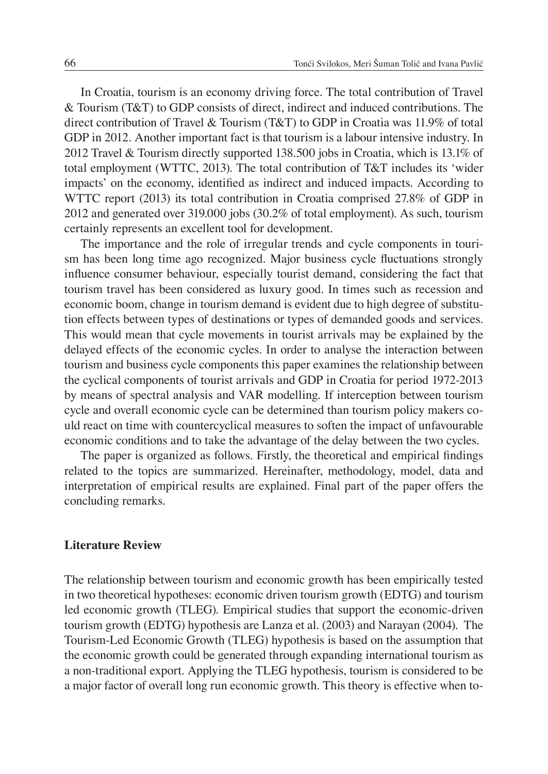In Croatia, tourism is an economy driving force. The total contribution of Travel & Tourism (T&T) to GDP consists of direct, indirect and induced contributions. The direct contribution of Travel & Tourism (T&T) to GDP in Croatia was 11.9% of total GDP in 2012. Another important fact is that tourism is a labour intensive industry. In 2012 Travel & Tourism directly supported 138.500 jobs in Croatia, which is 13.1% of total employment (WTTC, 2013). The total contribution of T&T includes its 'wider impacts' on the economy, identified as indirect and induced impacts. According to WTTC report (2013) its total contribution in Croatia comprised 27.8% of GDP in 2012 and generated over 319.000 jobs (30.2% of total employment). As such, tourism certainly represents an excellent tool for development.

The importance and the role of irregular trends and cycle components in tourism has been long time ago recognized. Major business cycle fluctuations strongly influence consumer behaviour, especially tourist demand, considering the fact that tourism travel has been considered as luxury good. In times such as recession and economic boom, change in tourism demand is evident due to high degree of substitution effects between types of destinations or types of demanded goods and services. This would mean that cycle movements in tourist arrivals may be explained by the delayed effects of the economic cycles. In order to analyse the interaction between tourism and business cycle components this paper examines the relationship between the cyclical components of tourist arrivals and GDP in Croatia for period 1972-2013 by means of spectral analysis and VAR modelling. If interception between tourism cycle and overall economic cycle can be determined than tourism policy makers could react on time with countercyclical measures to soften the impact of unfavourable economic conditions and to take the advantage of the delay between the two cycles.

The paper is organized as follows. Firstly, the theoretical and empirical findings related to the topics are summarized. Hereinafter, methodology, model, data and interpretation of empirical results are explained. Final part of the paper offers the concluding remarks.

#### **Literature Review**

The relationship between tourism and economic growth has been empirically tested in two theoretical hypotheses: economic driven tourism growth (EDTG) and tourism led economic growth (TLEG). Empirical studies that support the economic-driven tourism growth (EDTG) hypothesis are Lanza et al. (2003) and Narayan (2004). The Tourism-Led Economic Growth (TLEG) hypothesis is based on the assumption that the economic growth could be generated through expanding international tourism as a non-traditional export. Applying the TLEG hypothesis, tourism is considered to be a major factor of overall long run economic growth. This theory is effective when to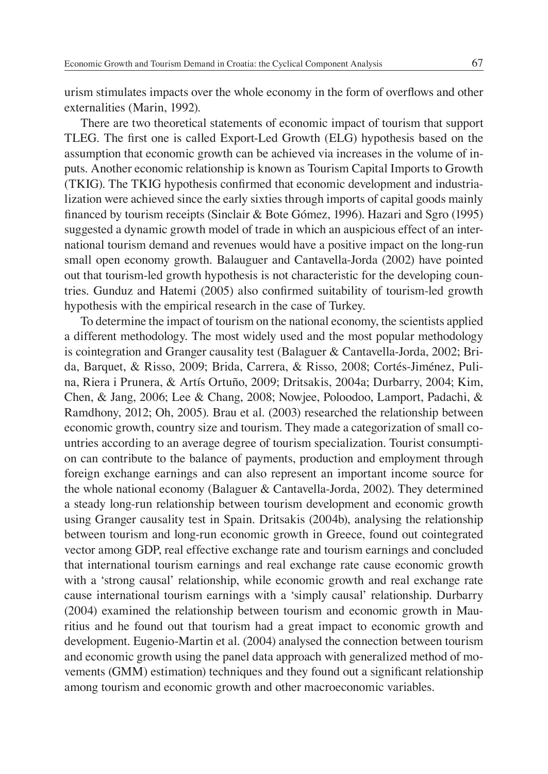urism stimulates impacts over the whole economy in the form of overflows and other externalities (Marin, 1992).

There are two theoretical statements of economic impact of tourism that support TLEG. The first one is called Export-Led Growth (ELG) hypothesis based on the assumption that economic growth can be achieved via increases in the volume of inputs. Another economic relationship is known as Tourism Capital Imports to Growth (TKIG). The TKIG hypothesis confirmed that economic development and industrialization were achieved since the early sixties through imports of capital goods mainly financed by tourism receipts (Sinclair & Bote Gómez, 1996). Hazari and Sgro (1995) suggested a dynamic growth model of trade in which an auspicious effect of an international tourism demand and revenues would have a positive impact on the long-run small open economy growth. Balauguer and Cantavella-Jorda (2002) have pointed out that tourism-led growth hypothesis is not characteristic for the developing countries. Gunduz and Hatemi (2005) also confirmed suitability of tourism-led growth hypothesis with the empirical research in the case of Turkey.

To determine the impact of tourism on the national economy, the scientists applied a different methodology. The most widely used and the most popular methodology is cointegration and Granger causality test (Balaguer & Cantavella-Jorda, 2002; Brida, Barquet, & Risso, 2009; Brida, Carrera, & Risso, 2008; Cortés-Jiménez, Pulina, Riera i Prunera, & Artís Ortuño, 2009; Dritsakis, 2004a; Durbarry, 2004; Kim, Chen, & Jang, 2006; Lee & Chang, 2008; Nowjee, Poloodoo, Lamport, Padachi, & Ramdhony, 2012; Oh, 2005). Brau et al. (2003) researched the relationship between economic growth, country size and tourism. They made a categorization of small countries according to an average degree of tourism specialization. Tourist consumption can contribute to the balance of payments, production and employment through foreign exchange earnings and can also represent an important income source for the whole national economy (Balaguer & Cantavella-Jorda, 2002). They determined a steady long-run relationship between tourism development and economic growth using Granger causality test in Spain. Dritsakis (2004b), analysing the relationship between tourism and long-run economic growth in Greece, found out cointegrated vector among GDP, real effective exchange rate and tourism earnings and concluded that international tourism earnings and real exchange rate cause economic growth with a 'strong causal' relationship, while economic growth and real exchange rate cause international tourism earnings with a 'simply causal' relationship. Durbarry (2004) examined the relationship between tourism and economic growth in Mauritius and he found out that tourism had a great impact to economic growth and development. Eugenio-Martin et al. (2004) analysed the connection between tourism and economic growth using the panel data approach with generalized method of movements (GMM) estimation) techniques and they found out a significant relationship among tourism and economic growth and other macroeconomic variables.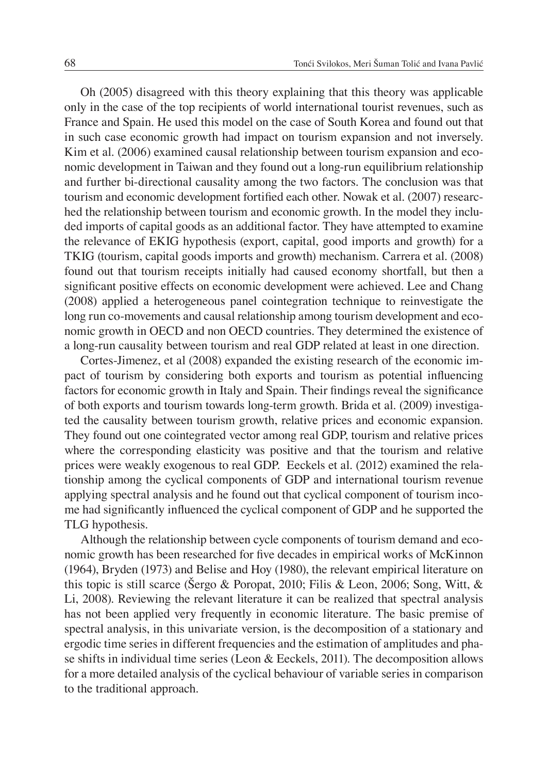Oh (2005) disagreed with this theory explaining that this theory was applicable only in the case of the top recipients of world international tourist revenues, such as France and Spain. He used this model on the case of South Korea and found out that in such case economic growth had impact on tourism expansion and not inversely. Kim et al. (2006) examined causal relationship between tourism expansion and economic development in Taiwan and they found out a long-run equilibrium relationship and further bi-directional causality among the two factors. The conclusion was that tourism and economic development fortified each other. Nowak et al. (2007) researched the relationship between tourism and economic growth. In the model they included imports of capital goods as an additional factor. They have attempted to examine the relevance of EKIG hypothesis (export, capital, good imports and growth) for a TKIG (tourism, capital goods imports and growth) mechanism. Carrera et al. (2008) found out that tourism receipts initially had caused economy shortfall, but then a significant positive effects on economic development were achieved. Lee and Chang (2008) applied a heterogeneous panel cointegration technique to reinvestigate the long run co-movements and causal relationship among tourism development and economic growth in OECD and non OECD countries. They determined the existence of a long-run causality between tourism and real GDP related at least in one direction.

Cortes-Jimenez, et al (2008) expanded the existing research of the economic impact of tourism by considering both exports and tourism as potential influencing factors for economic growth in Italy and Spain. Their findings reveal the significance of both exports and tourism towards long-term growth. Brida et al. (2009) investigated the causality between tourism growth, relative prices and economic expansion. They found out one cointegrated vector among real GDP, tourism and relative prices where the corresponding elasticity was positive and that the tourism and relative prices were weakly exogenous to real GDP. Eeckels et al. (2012) examined the relationship among the cyclical components of GDP and international tourism revenue applying spectral analysis and he found out that cyclical component of tourism income had significantly influenced the cyclical component of GDP and he supported the TLG hypothesis.

Although the relationship between cycle components of tourism demand and economic growth has been researched for five decades in empirical works of McKinnon (1964), Bryden (1973) and Belise and Hoy (1980), the relevant empirical literature on this topic is still scarce (Šergo & Poropat, 2010; Filis & Leon, 2006; Song, Witt, & Li, 2008). Reviewing the relevant literature it can be realized that spectral analysis has not been applied very frequently in economic literature. The basic premise of spectral analysis, in this univariate version, is the decomposition of a stationary and ergodic time series in different frequencies and the estimation of amplitudes and phase shifts in individual time series (Leon & Eeckels, 2011). The decomposition allows for a more detailed analysis of the cyclical behaviour of variable series in comparison to the traditional approach.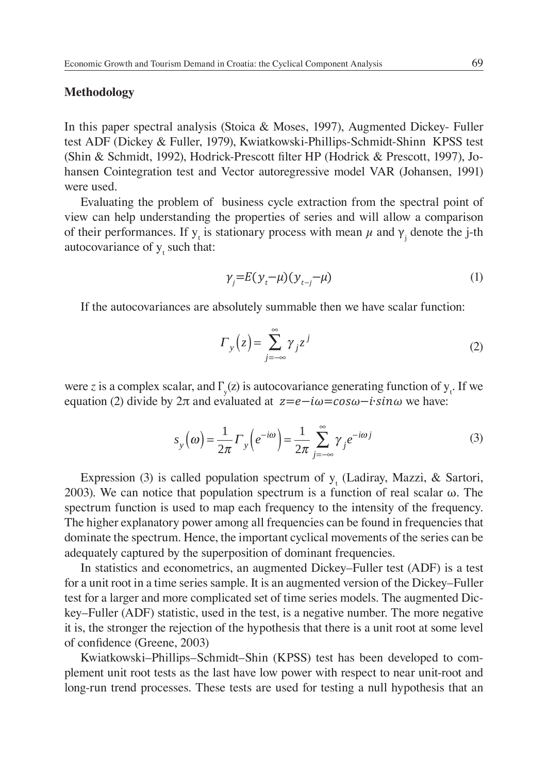#### **Methodology**

In this paper spectral analysis (Stoica & Moses, 1997), Augmented Dickey- Fuller test ADF (Dickey & Fuller, 1979), Kwiatkowski-Phillips-Schmidt-Shinn KPSS test (Shin & Schmidt, 1992), Hodrick-Prescott filter HP (Hodrick & Prescott, 1997), Johansen Cointegration test and Vector autoregressive model VAR (Johansen, 1991) were used.

Evaluating the problem of business cycle extraction from the spectral point of view can help understanding the properties of series and will allow a comparison of their performances. If  $y_t$  is stationary process with mean  $\mu$  and  $\gamma_j$  denote the j-th autocovariance of  $y_t$  such that:

$$
\gamma_j = E(\gamma_t - \mu)(\gamma_{t-j} - \mu) \tag{1}
$$

If the autocovariances are absolutely summable then we have scalar function:

$$
\Gamma_{y}(z) = \sum_{j=-\infty}^{\infty} \gamma_{j} z^{j}
$$
 (2)

were *z* is a complex scalar, and  $\Gamma_{y}(z)$  is autocovariance generating function of  $y_{t}$ . If we equation (2) divide by  $2\pi$  and evaluated at  $z=e-i\omega=cos\omega-i\sin\omega$  we have:

$$
s_y(\omega) = \frac{1}{2\pi} \Gamma_y \left( e^{-i\omega} \right) = \frac{1}{2\pi} \sum_{j=-\infty}^{\infty} \gamma_j e^{-i\omega j}
$$
 (3)

Expression (3) is called population spectrum of  $y_t$  (Ladiray, Mazzi, & Sartori, 2003). We can notice that population spectrum is a function of real scalar ω. The spectrum function is used to map each frequency to the intensity of the frequency. The higher explanatory power among all frequencies can be found in frequencies that dominate the spectrum. Hence, the important cyclical movements of the series can be adequately captured by the superposition of dominant frequencies.

In statistics and econometrics, an augmented Dickey–Fuller test (ADF) is a test for a unit root in a time series sample. It is an augmented version of the Dickey–Fuller test for a larger and more complicated set of time series models. The augmented Dickey–Fuller (ADF) statistic, used in the test, is a negative number. The more negative it is, the stronger the rejection of the hypothesis that there is a unit root at some level of confidence (Greene, 2003)

Kwiatkowski–Phillips–Schmidt–Shin (KPSS) test has been developed to complement unit root tests as the last have low power with respect to near unit-root and long-run trend processes. These tests are used for testing a null hypothesis that an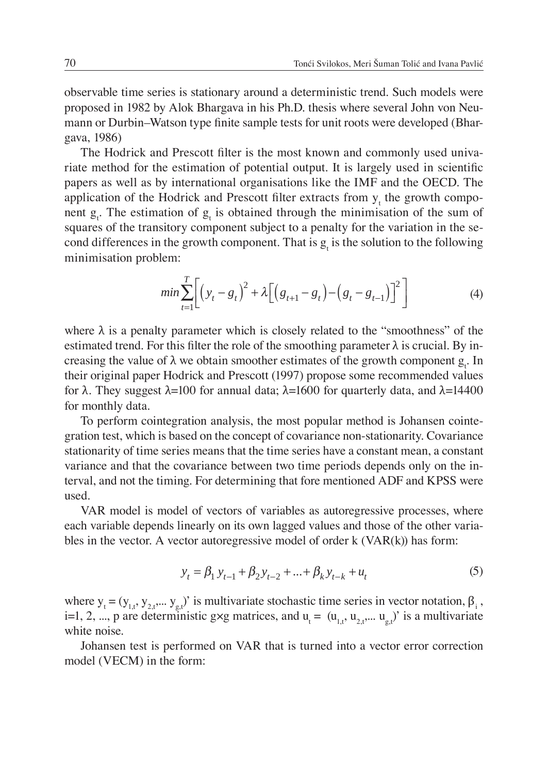observable time series is stationary around a deterministic trend. Such models were proposed in 1982 by Alok Bhargava in his Ph.D. thesis where several John von Neumann or Durbin–Watson type finite sample tests for unit roots were developed (Bhargava, 1986)

The Hodrick and Prescott filter is the most known and commonly used univariate method for the estimation of potential output. It is largely used in scientific papers as well as by international organisations like the IMF and the OECD. The application of the Hodrick and Prescott filter extracts from  $y_t$  the growth component  $g_t$ . The estimation of  $g_t$  is obtained through the minimisation of the sum of squares of the transitory component subject to a penalty for the variation in the second differences in the growth component. That is  $g_t$  is the solution to the following minimisation problem:

$$
min \sum_{t=1}^{T} \left[ \left( y_t - g_t \right)^2 + \lambda \left[ \left( g_{t+1} - g_t \right) - \left( g_t - g_{t-1} \right) \right]^2 \right] \tag{4}
$$

where  $\lambda$  is a penalty parameter which is closely related to the "smoothness" of the estimated trend. For this filter the role of the smoothing parameter  $\lambda$  is crucial. By increasing the value of  $\lambda$  we obtain smoother estimates of the growth component  $g_t$ . In their original paper Hodrick and Prescott (1997) propose some recommended values for λ. They suggest  $λ=100$  for annual data;  $λ=1600$  for quarterly data, and  $λ=14400$ for monthly data.

To perform cointegration analysis, the most popular method is Johansen cointegration test, which is based on the concept of covariance non-stationarity. Covariance stationarity of time series means that the time series have a constant mean, a constant variance and that the covariance between two time periods depends only on the interval, and not the timing. For determining that fore mentioned ADF and KPSS were used.

VAR model is model of vectors of variables as autoregressive processes, where each variable depends linearly on its own lagged values and those of the other variables in the vector. A vector autoregressive model of order  $k$  (VAR $(k)$ ) has form:

$$
y_t = \beta_1 y_{t-1} + \beta_2 y_{t-2} + \dots + \beta_k y_{t-k} + u_t
$$
 (5)

where  $y_t = (y_{1,t}, y_{2,t}, \dots, y_{g,t})'$  is multivariate stochastic time series in vector notation,  $\beta_i$ , i=1, 2, ..., p are deterministic g×g matrices, and  $u_t = (u_{1,t}, u_{2,t}, \dots, u_{g,t})'$  is a multivariate white noise.

Johansen test is performed on VAR that is turned into a vector error correction model (VECM) in the form: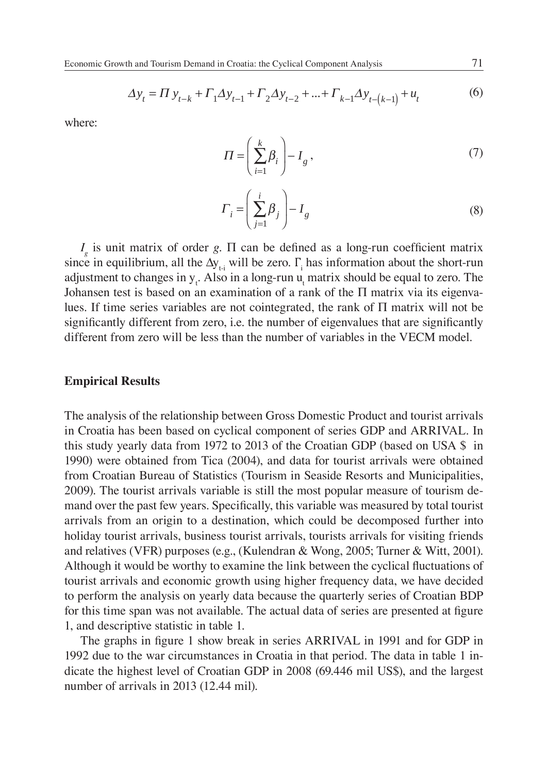$$
\Delta y_t = \Pi y_{t-k} + \Gamma_1 \Delta y_{t-1} + \Gamma_2 \Delta y_{t-2} + \dots + \Gamma_{k-1} \Delta y_{t-(k-1)} + u_t
$$
(6)

where:

$$
\Pi = \left(\sum_{i=1}^{k} \beta_i\right) - I_g \,,\tag{7}
$$

$$
\Gamma_i = \left(\sum_{j=1}^i \beta_j\right) - I_g \tag{8}
$$

 $I<sub>g</sub>$  is unit matrix of order *g*.  $\Pi$  can be defined as a long-run coefficient matrix since in equilibrium, all the  $\Delta y_{t-i}$  will be zero.  $\Gamma_i$  has information about the short-run adjustment to changes in  $y_t$ . Also in a long-run  $u_t$  matrix should be equal to zero. The Johansen test is based on an examination of a rank of the  $\Pi$  matrix via its eigenvalues. If time series variables are not cointegrated, the rank of Π matrix will not be significantly different from zero, i.e. the number of eigenvalues that are significantly different from zero will be less than the number of variables in the VECM model.

#### **Empirical Results**

The analysis of the relationship between Gross Domestic Product and tourist arrivals in Croatia has been based on cyclical component of series GDP and ARRIVAL. In this study yearly data from 1972 to 2013 of the Croatian GDP (based on USA \$ in 1990) were obtained from Tica (2004), and data for tourist arrivals were obtained from Croatian Bureau of Statistics (Tourism in Seaside Resorts and Municipalities, 2009). The tourist arrivals variable is still the most popular measure of tourism demand over the past few years. Specifically, this variable was measured by total tourist arrivals from an origin to a destination, which could be decomposed further into holiday tourist arrivals, business tourist arrivals, tourists arrivals for visiting friends and relatives (VFR) purposes (e.g., (Kulendran & Wong, 2005; Turner & Witt, 2001). Although it would be worthy to examine the link between the cyclical fluctuations of tourist arrivals and economic growth using higher frequency data, we have decided to perform the analysis on yearly data because the quarterly series of Croatian BDP for this time span was not available. The actual data of series are presented at figure 1, and descriptive statistic in table 1.

The graphs in figure 1 show break in series ARRIVAL in 1991 and for GDP in 1992 due to the war circumstances in Croatia in that period. The data in table 1 indicate the highest level of Croatian GDP in 2008 (69.446 mil US\$), and the largest number of arrivals in 2013 (12.44 mil).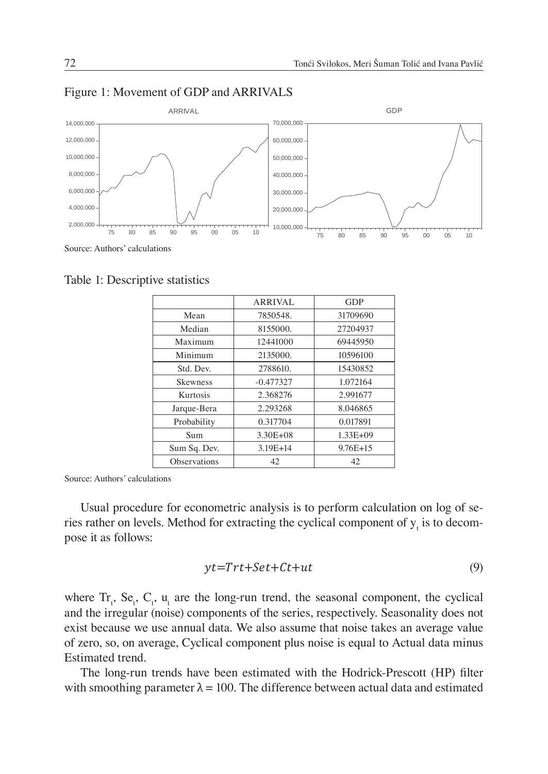

#### Figure 1: Movement of GDP and ARRIVALS

Table 1: Descriptive statistics

|                 | <b>ARRIVAL</b> | <b>GDP</b>   |
|-----------------|----------------|--------------|
| Mean            | 7850548.       | 31709690     |
| Median          | 8155000.       | 27204937     |
| Maximum         | 12441000       | 69445950     |
| Minimum         | 2135000.       | 10596100     |
| Std. Dev.       | 2788610.       | 15430852     |
| <b>Skewness</b> | $-0.477327$    | 1.072164     |
| Kurtosis        | 2.368276       | 2.991677     |
| Jarque-Bera     | 2.293268       | 8.046865     |
| Probability     | 0.317704       | 0.017891     |
| Sum             | $3.30E + 08$   | $1.33E + 09$ |
| Sum Sq. Dev.    | $3.19E + 14$   | $9.76E+15$   |
| Observations    | 42             | 42           |

Source: Authors' calculations

Usual procedure for econometric analysis is to perform calculation on log of series rather on levels. Method for extracting the cyclical component of  $y_t$  is to decompose it as follows:

$$
yt = Trt + Set + Ct + ut \tag{9}
$$

where  $Tr_t$ ,  $Se_t$ ,  $C_t$ ,  $u_t$  are the long-run trend, the seasonal component, the cyclical and the irregular (noise) components of the series, respectively. Seasonality does not exist because we use annual data. We also assume that noise takes an average value of zero, so, on average, Cyclical component plus noise is equal to Actual data minus Estimated trend.

The long-run trends have been estimated with the Hodrick-Prescott (HP) filter with smoothing parameter  $\lambda = 100$ . The difference between actual data and estimated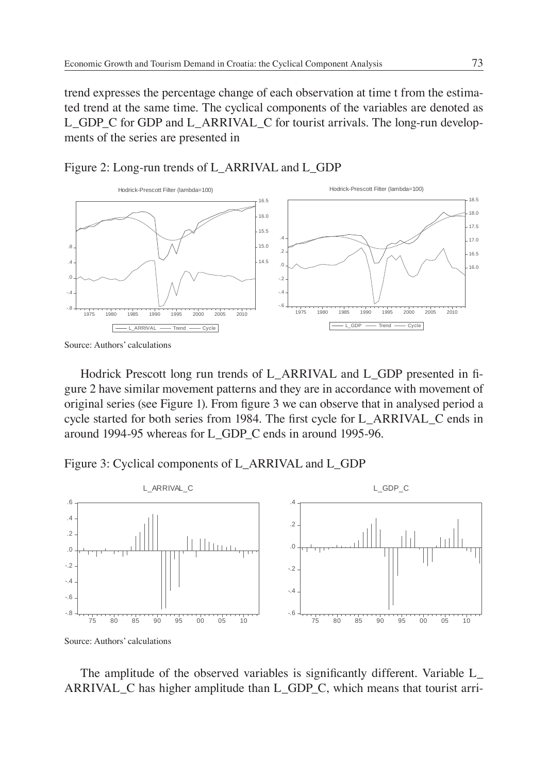trend expresses the percentage change of each observation at time t from the estimated trend at the same time. The cyclical components of the variables are denoted as L\_GDP\_C for GDP and L\_ARRIVAL\_C for tourist arrivals. The long-run developments of the series are presented in





Source: Authors' calculations

Hodrick Prescott long run trends of L\_ARRIVAL and L\_GDP presented in figure 2 have similar movement patterns and they are in accordance with movement of original series (see Figure 1). From figure 3 we can observe that in analysed period a cycle started for both series from 1984. The first cycle for L\_ARRIVAL\_C ends in around 1994-95 whereas for L\_GDP\_C ends in around 1995-96.

Figure 3: Cyclical components of L\_ARRIVAL and L\_GDP



The amplitude of the observed variables is significantly different. Variable L\_ ARRIVAL\_C has higher amplitude than L\_GDP\_C, which means that tourist arri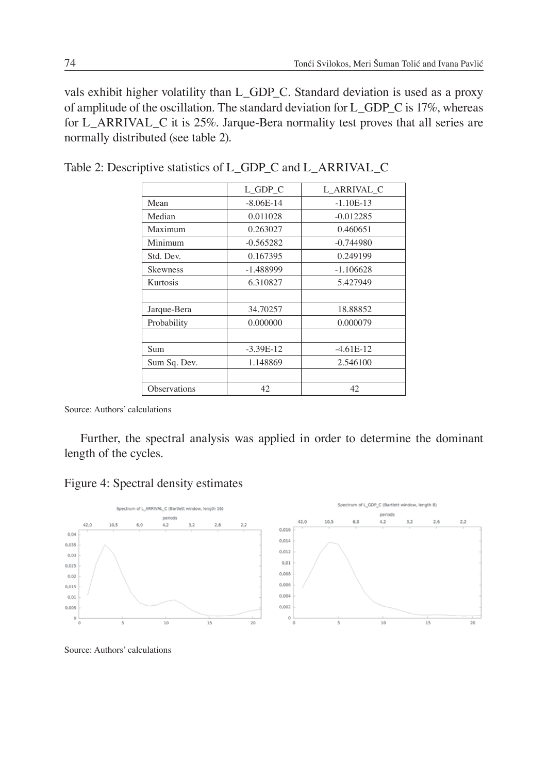vals exhibit higher volatility than L\_GDP\_C. Standard deviation is used as a proxy of amplitude of the oscillation. The standard deviation for L\_GDP\_C is 17%, whereas for L\_ARRIVAL\_C it is 25%. Jarque-Bera normality test proves that all series are normally distributed (see table 2).

|                 | L GDP C     | L ARRIVAL C |
|-----------------|-------------|-------------|
| Mean            | $-8.06E-14$ | $-1.10E-13$ |
| Median          | 0.011028    | $-0.012285$ |
| Maximum         | 0.263027    | 0.460651    |
| Minimum         | $-0.565282$ | $-0.744980$ |
| Std. Dev.       | 0.167395    | 0.249199    |
| <b>Skewness</b> | $-1.488999$ | $-1.106628$ |
| Kurtosis        | 6.310827    | 5.427949    |
|                 |             |             |
| Jarque-Bera     | 34.70257    | 18.88852    |
| Probability     | 0.000000    | 0.000079    |
|                 |             |             |
| Sum             | $-3.39E-12$ | $-4.61E-12$ |
| Sum Sq. Dev.    | 1.148869    | 2.546100    |
|                 |             |             |
| Observations    | 42          | 42          |

Table 2: Descriptive statistics of L\_GDP\_C and L\_ARRIVAL\_C

Source: Authors' calculations

Further, the spectral analysis was applied in order to determine the dominant length of the cycles.

|  |  |  | Figure 4: Spectral density estimates |
|--|--|--|--------------------------------------|
|--|--|--|--------------------------------------|



Source: Authors' calculations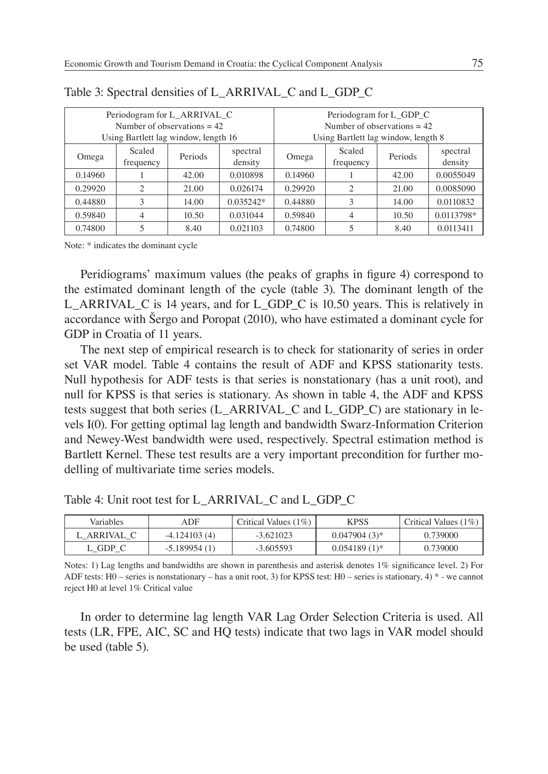| Periodogram for L_ARRIVAL_C          |                                                       |       | Periodogram for L_GDP_C             |         |                     |         |                     |
|--------------------------------------|-------------------------------------------------------|-------|-------------------------------------|---------|---------------------|---------|---------------------|
| Number of observations $= 42$        |                                                       |       | Number of observations $= 42$       |         |                     |         |                     |
| Using Bartlett lag window, length 16 |                                                       |       | Using Bartlett lag window, length 8 |         |                     |         |                     |
| Omega                                | Scaled<br>spectral<br>Periods<br>density<br>frequency |       |                                     | Omega   | Scaled<br>frequency | Periods | spectral<br>density |
| 0.14960                              |                                                       | 42.00 | 0.010898                            | 0.14960 |                     | 42.00   | 0.0055049           |
| 0.29920                              | 2                                                     | 21.00 | 0.026174                            | 0.29920 | ↑                   | 21.00   | 0.0085090           |
| 0.44880                              | 3                                                     | 14.00 | $0.035242*$                         | 0.44880 | 3                   | 14.00   | 0.0110832           |
| 0.59840                              | 4                                                     | 10.50 | 0.031044                            | 0.59840 |                     | 10.50   | 0.0113798*          |
| 0.74800                              |                                                       | 8.40  | 0.021103                            | 0.74800 |                     | 8.40    | 0.0113411           |

Table 3: Spectral densities of L\_ARRIVAL\_C and L\_GDP\_C

Note: \* indicates the dominant cycle

Peridiograms' maximum values (the peaks of graphs in figure 4) correspond to the estimated dominant length of the cycle (table 3). The dominant length of the L\_ARRIVAL\_C is 14 years, and for L\_GDP\_C is 10.50 years. This is relatively in accordance with Šergo and Poropat (2010), who have estimated a dominant cycle for GDP in Croatia of 11 years.

The next step of empirical research is to check for stationarity of series in order set VAR model. Table 4 contains the result of ADF and KPSS stationarity tests. Null hypothesis for ADF tests is that series is nonstationary (has a unit root), and null for KPSS is that series is stationary. As shown in table 4, the ADF and KPSS tests suggest that both series (L\_ARRIVAL\_C and L\_GDP\_C) are stationary in levels I(0). For getting optimal lag length and bandwidth Swarz-Information Criterion and Newey-West bandwidth were used, respectively. Spectral estimation method is Bartlett Kernel. These test results are a very important precondition for further modelling of multivariate time series models.

Table 4: Unit root test for L\_ARRIVAL\_C and L\_GDP\_C

| <b>Variables</b> | ADF            | Critical Values $(1%)$ | KPSS            | Critical Values $(1\%)$ |
|------------------|----------------|------------------------|-----------------|-------------------------|
| ARRIVAL C        | $-4.124103(4)$ | $-3.621023$            | $0.047904(3)$ * | 0.739000                |
| GDP C            | $-5.189954(1)$ | $-3.605593$            | $0.054189(1)$ * | 2.739000                |

Notes: 1) Lag lengths and bandwidths are shown in parenthesis and asterisk denotes  $1\%$  significance level. 2) For ADF tests: H0 – series is nonstationary – has a unit root, 3) for KPSS test: H0 – series is stationary, 4) \* - we cannot reject H0 at level 1% Critical value

In order to determine lag length VAR Lag Order Selection Criteria is used. All tests (LR, FPE, AIC, SC and HQ tests) indicate that two lags in VAR model should be used (table 5).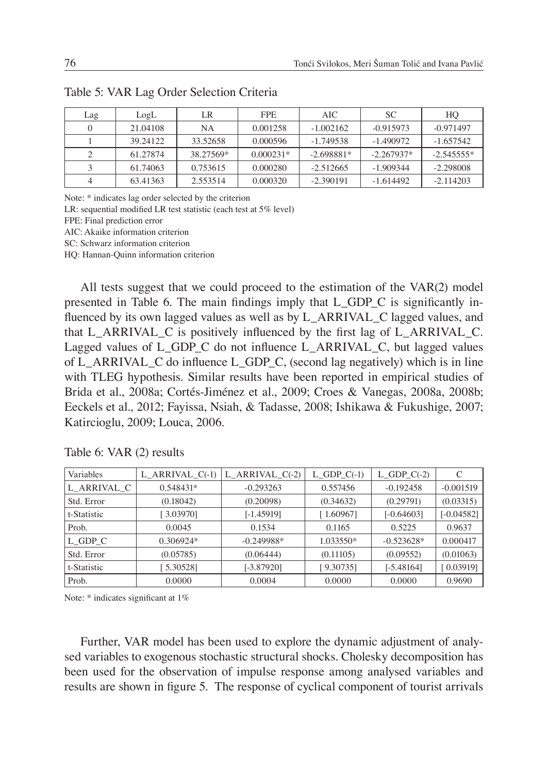| Lag | LogL     | LR        | FPE.        | AIC          | SС           | HO           |
|-----|----------|-----------|-------------|--------------|--------------|--------------|
|     | 21.04108 | NA.       | 0.001258    | $-1.002162$  | $-0.915973$  | $-0.971497$  |
|     | 39.24122 | 33.52658  | 0.000596    | $-1.749538$  | $-1.490972$  | $-1.657542$  |
|     | 61.27874 | 38.27569* | $0.000231*$ | $-2.698881*$ | $-2.267937*$ | $-2.545555*$ |
|     | 61.74063 | 0.753615  | 0.000280    | $-2.512665$  | $-1.909344$  | $-2.298008$  |
|     | 63.41363 | 2.553514  | 0.000320    | $-2.390191$  | $-1.614492$  | $-2.114203$  |

|  |  |  |  | Table 5: VAR Lag Order Selection Criteria |  |
|--|--|--|--|-------------------------------------------|--|
|--|--|--|--|-------------------------------------------|--|

Note: \* indicates lag order selected by the criterion

LR: sequential modified LR test statistic (each test at  $5\%$  level)

FPE: Final prediction error

AIC: Akaike information criterion

SC: Schwarz information criterion

HQ: Hannan-Quinn information criterion

All tests suggest that we could proceed to the estimation of the VAR(2) model presented in Table 6. The main findings imply that  $L$  GDP  $C$  is significantly influenced by its own lagged values as well as by L\_ARRIVAL\_C lagged values, and that  $L_ARRIVAL_C$  is positively influenced by the first lag of  $L_ARRIVAL_C$ . Lagged values of L GDP C do not influence L ARRIVAL C, but lagged values of L\_ARRIVAL\_C do influence L\_GDP\_C, (second lag negatively) which is in line with TLEG hypothesis. Similar results have been reported in empirical studies of Brida et al., 2008a; Cortés-Jiménez et al., 2009; Croes & Vanegas, 2008a, 2008b; Eeckels et al., 2012; Fayissa, Nsiah, & Tadasse, 2008; Ishikawa & Fukushige, 2007; Katircioglu, 2009; Louca, 2006.

| Variables   | L ARRIVAL $C(-1)$ | L ARRIVAL $C(-2)$ | L GDP $C(-1)$ | $L_GDP_C(-2)$ | C            |
|-------------|-------------------|-------------------|---------------|---------------|--------------|
| L ARRIVAL C | $0.548431*$       | $-0.293263$       | 0.557456      | $-0.192458$   | $-0.001519$  |
| Std. Error  | (0.18042)         | (0.20098)         | (0.34632)     | (0.29791)     | (0.03315)    |
| t-Statistic | 3.03970]          | $[-1.45919]$      | [1.60967]     | $[-0.64603]$  | $[-0.04582]$ |
| Prob.       | 0.0045            | 0.1534            | 0.1165        | 0.5225        | 0.9637       |
| L GDP C     | $0.306924*$       | $-0.249988*$      | 1.033550*     | $-0.523628*$  | 0.000417     |
| Std. Error  | (0.05785)         | (0.06444)         | (0.11105)     | (0.09552)     | (0.01063)    |
| t-Statistic | 5.305281          | $[-3.87920]$      | [9.30735]     | $[-5.48164]$  | 0.03919      |
| Prob.       | 0.0000            | 0.0004            | 0.0000        | 0.0000        | 0.9690       |

Table 6: VAR (2) results

Note: \* indicates significant at 1%

Further, VAR model has been used to explore the dynamic adjustment of analysed variables to exogenous stochastic structural shocks. Cholesky decomposition has been used for the observation of impulse response among analysed variables and results are shown in figure 5. The response of cyclical component of tourist arrivals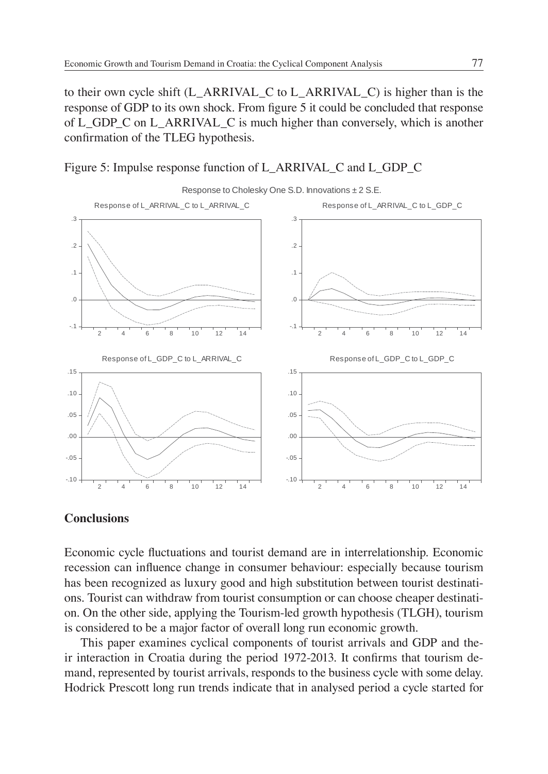to their own cycle shift (L\_ARRIVAL\_C to L\_ARRIVAL\_C) is higher than is the response of GDP to its own shock. From figure 5 it could be concluded that response of L\_GDP\_C on L\_ARRIVAL\_C is much higher than conversely, which is another confirmation of the TLEG hypothesis.





### **Conclusions**

Economic cycle fluctuations and tourist demand are in interrelationship. Economic recession can influence change in consumer behaviour: especially because tourism has been recognized as luxury good and high substitution between tourist destinations. Tourist can withdraw from tourist consumption or can choose cheaper destination. On the other side, applying the Tourism-led growth hypothesis (TLGH), tourism is considered to be a major factor of overall long run economic growth.

This paper examines cyclical components of tourist arrivals and GDP and their interaction in Croatia during the period 1972-2013. It confirms that tourism demand, represented by tourist arrivals, responds to the business cycle with some delay. Hodrick Prescott long run trends indicate that in analysed period a cycle started for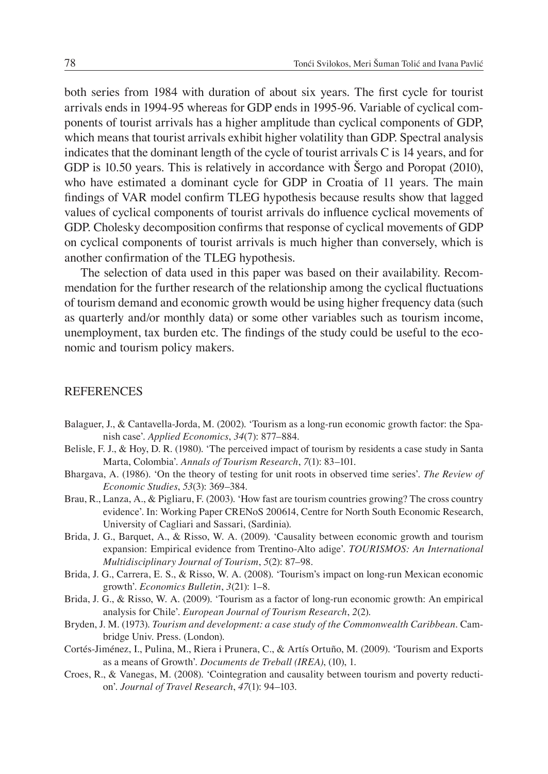both series from 1984 with duration of about six years. The first cycle for tourist arrivals ends in 1994-95 whereas for GDP ends in 1995-96. Variable of cyclical components of tourist arrivals has a higher amplitude than cyclical components of GDP, which means that tourist arrivals exhibit higher volatility than GDP. Spectral analysis indicates that the dominant length of the cycle of tourist arrivals C is 14 years, and for GDP is 10.50 years. This is relatively in accordance with Šergo and Poropat (2010), who have estimated a dominant cycle for GDP in Croatia of 11 years. The main findings of VAR model confirm TLEG hypothesis because results show that lagged values of cyclical components of tourist arrivals do influence cyclical movements of GDP. Cholesky decomposition confirms that response of cyclical movements of GDP on cyclical components of tourist arrivals is much higher than conversely, which is another confirmation of the TLEG hypothesis.

The selection of data used in this paper was based on their availability. Recommendation for the further research of the relationship among the cyclical fluctuations of tourism demand and economic growth would be using higher frequency data (such as quarterly and/or monthly data) or some other variables such as tourism income, unemployment, tax burden etc. The findings of the study could be useful to the economic and tourism policy makers.

#### **REFERENCES**

- Balaguer, J., & Cantavella-Jorda, M. (2002). 'Tourism as a long-run economic growth factor: the Spanish case'. *Applied Economics*, *34*(7): 877–884.
- Belisle, F. J., & Hoy, D. R. (1980). 'The perceived impact of tourism by residents a case study in Santa Marta, Colombia'. *Annals of Tourism Research*, *7*(1): 83–101.
- Bhargava, A. (1986). 'On the theory of testing for unit roots in observed time series'. *The Review of Economic Studies*, *53*(3): 369–384.
- Brau, R., Lanza, A., & Pigliaru, F. (2003). 'How fast are tourism countries growing? The cross country evidence'. In: Working Paper CRENoS 200614, Centre for North South Economic Research, University of Cagliari and Sassari, (Sardinia).
- Brida, J. G., Barquet, A., & Risso, W. A. (2009). 'Causality between economic growth and tourism expansion: Empirical evidence from Trentino-Alto adige'. *TOURISMOS: An International Multidisciplinary Journal of Tourism*, *5*(2): 87–98.
- Brida, J. G., Carrera, E. S., & Risso, W. A. (2008). 'Tourism's impact on long-run Mexican economic growth'. *Economics Bulletin*, *3*(21): 1–8.
- Brida, J. G., & Risso, W. A. (2009). 'Tourism as a factor of long-run economic growth: An empirical analysis for Chile'. *European Journal of Tourism Research*, *2*(2).
- Bryden, J. M. (1973). *Tourism and development: a case study of the Commonwealth Caribbean*. Cambridge Univ. Press. (London).
- Cortés-Jiménez, I., Pulina, M., Riera i Prunera, C., & Artís Ortuño, M. (2009). 'Tourism and Exports as a means of Growth'. *Documents de Treball (IREA)*, (10), 1.
- Croes, R., & Vanegas, M. (2008). 'Cointegration and causality between tourism and poverty reduction'. *Journal of Travel Research*, *47*(1): 94–103.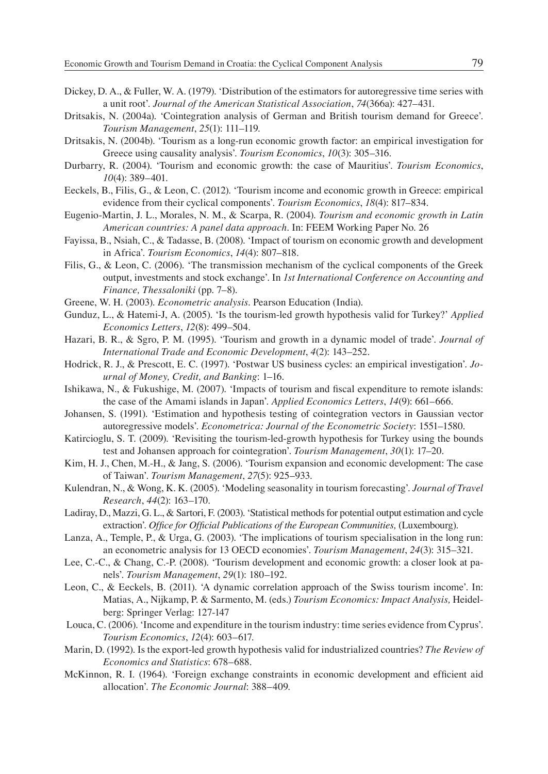- Dickey, D. A., & Fuller, W. A. (1979). 'Distribution of the estimators for autoregressive time series with a unit root'. *Journal of the American Statistical Association*, *74*(366a): 427–431.
- Dritsakis, N. (2004a). 'Cointegration analysis of German and British tourism demand for Greece'. *Tourism Management*, *25*(1): 111–119.
- Dritsakis, N. (2004b). 'Tourism as a long-run economic growth factor: an empirical investigation for Greece using causality analysis'. *Tourism Economics*, *10*(3): 305–316.
- Durbarry, R. (2004). 'Tourism and economic growth: the case of Mauritius'. *Tourism Economics*, *10*(4): 389–401.
- Eeckels, B., Filis, G., & Leon, C. (2012). 'Tourism income and economic growth in Greece: empirical evidence from their cyclical components'. *Tourism Economics*, *18*(4): 817–834.
- Eugenio-Martin, J. L., Morales, N. M., & Scarpa, R. (2004). *Tourism and economic growth in Latin American countries: A panel data approach*. In: FEEM Working Paper No. 26
- Fayissa, B., Nsiah, C., & Tadasse, B. (2008). 'Impact of tourism on economic growth and development in Africa'. *Tourism Economics*, *14*(4): 807–818.
- Filis, G., & Leon, C. (2006). 'The transmission mechanism of the cyclical components of the Greek output, investments and stock exchange'. In *1st International Conference on Accounting and Finance, Thessaloniki* (pp. 7–8).
- Greene, W. H. (2003). *Econometric analysis*. Pearson Education (India).
- Gunduz, L., & Hatemi-J, A. (2005). 'Is the tourism-led growth hypothesis valid for Turkey?' *Applied Economics Letters*, *12*(8): 499–504.
- Hazari, B. R., & Sgro, P. M. (1995). 'Tourism and growth in a dynamic model of trade'. *Journal of International Trade and Economic Development*, *4*(2): 143–252.
- Hodrick, R. J., & Prescott, E. C. (1997). 'Postwar US business cycles: an empirical investigation'. *Journal of Money, Credit, and Banking*: 1–16.
- Ishikawa, N., & Fukushige, M. (2007). 'Impacts of tourism and fiscal expenditure to remote islands: the case of the Amami islands in Japan'. *Applied Economics Letters*, *14*(9): 661–666.
- Johansen, S. (1991). 'Estimation and hypothesis testing of cointegration vectors in Gaussian vector autoregressive models'. *Econometrica: Journal of the Econometric Society*: 1551–1580.
- Katircioglu, S. T. (2009). 'Revisiting the tourism-led-growth hypothesis for Turkey using the bounds test and Johansen approach for cointegration'. *Tourism Management*, *30*(1): 17–20.
- Kim, H. J., Chen, M.-H., & Jang, S. (2006). 'Tourism expansion and economic development: The case of Taiwan'. *Tourism Management*, *27*(5): 925–933.
- Kulendran, N., & Wong, K. K. (2005). 'Modeling seasonality in tourism forecasting'. *Journal of Travel Research*, *44*(2): 163–170.
- Ladiray, D., Mazzi, G. L., & Sartori, F. (2003). 'Statistical methods for potential output estimation and cycle extraction'. *Office for Official Publications of the European Communities*, (Luxembourg).
- Lanza, A., Temple, P., & Urga, G. (2003). 'The implications of tourism specialisation in the long run: an econometric analysis for 13 OECD economies'. *Tourism Management*, *24*(3): 315–321.
- Lee, C.-C., & Chang, C.-P. (2008). 'Tourism development and economic growth: a closer look at panels'. *Tourism Management*, *29*(1): 180–192.
- Leon, C., & Eeckels, B. (2011). 'A dynamic correlation approach of the Swiss tourism income'. In: Matias, A., Nijkamp, P. & Sarmento, M. (eds.) *Tourism Economics: Impact Analysis,* Heidelberg: Springer Verlag: 127-147
- Louca, C. (2006). 'Income and expenditure in the tourism industry: time series evidence from Cyprus'. *Tourism Economics*, *12*(4): 603–617.
- Marin, D. (1992). Is the export-led growth hypothesis valid for industrialized countries? *The Review of Economics and Statistics*: 678–688.
- McKinnon, R. I. (1964). 'Foreign exchange constraints in economic development and efficient aid allocation'. *The Economic Journal*: 388–409.